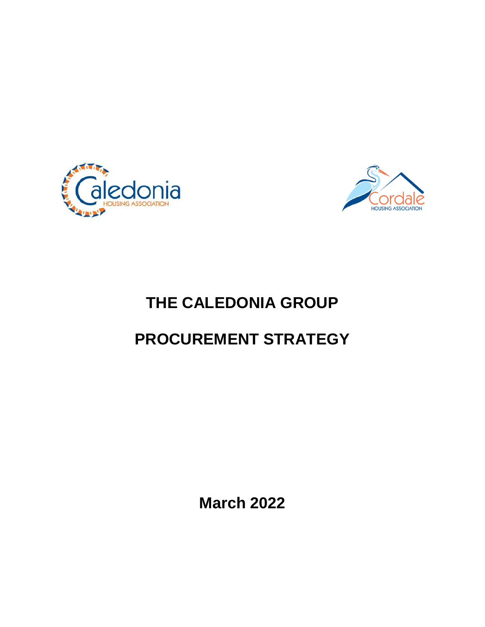



# **THE CALEDONIA GROUP**

# **PROCUREMENT STRATEGY**

**March 2022**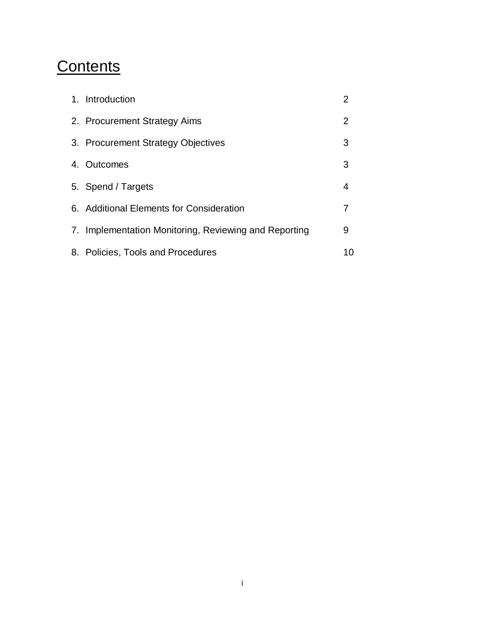# **Contents**

| 1. Introduction                                       | 2              |
|-------------------------------------------------------|----------------|
| 2. Procurement Strategy Aims                          | $\overline{2}$ |
| 3. Procurement Strategy Objectives                    | 3              |
| 4. Outcomes                                           | 3              |
| 5. Spend / Targets                                    | 4              |
| 6. Additional Elements for Consideration              | 7              |
| 7. Implementation Monitoring, Reviewing and Reporting | 9              |
| 8. Policies, Tools and Procedures                     | 10             |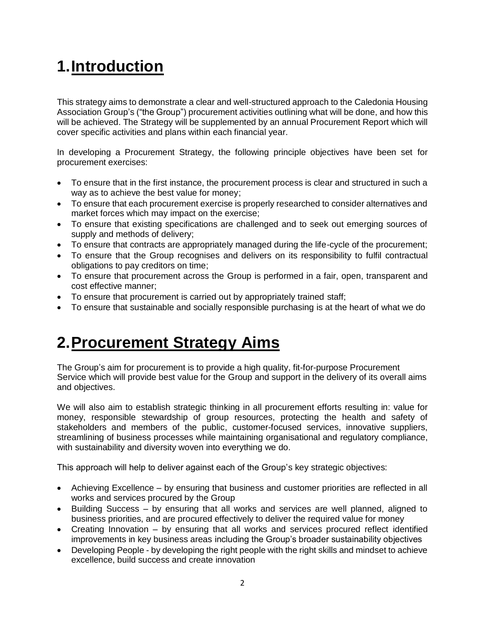# **1.Introduction**

This strategy aims to demonstrate a clear and well-structured approach to the Caledonia Housing Association Group's ("the Group") procurement activities outlining what will be done, and how this will be achieved. The Strategy will be supplemented by an annual Procurement Report which will cover specific activities and plans within each financial year.

In developing a Procurement Strategy, the following principle objectives have been set for procurement exercises:

- To ensure that in the first instance, the procurement process is clear and structured in such a way as to achieve the best value for money;
- To ensure that each procurement exercise is properly researched to consider alternatives and market forces which may impact on the exercise;
- To ensure that existing specifications are challenged and to seek out emerging sources of supply and methods of delivery;
- To ensure that contracts are appropriately managed during the life-cycle of the procurement;
- To ensure that the Group recognises and delivers on its responsibility to fulfil contractual obligations to pay creditors on time;
- To ensure that procurement across the Group is performed in a fair, open, transparent and cost effective manner;
- To ensure that procurement is carried out by appropriately trained staff;
- To ensure that sustainable and socially responsible purchasing is at the heart of what we do

# **2.Procurement Strategy Aims**

The Group's aim for procurement is to provide a high quality, fit-for-purpose Procurement Service which will provide best value for the Group and support in the delivery of its overall aims and objectives.

We will also aim to establish strategic thinking in all procurement efforts resulting in: value for money, responsible stewardship of group resources, protecting the health and safety of stakeholders and members of the public, customer-focused services, innovative suppliers, streamlining of business processes while maintaining organisational and regulatory compliance, with sustainability and diversity woven into everything we do.

This approach will help to deliver against each of the Group's key strategic objectives:

- Achieving Excellence by ensuring that business and customer priorities are reflected in all works and services procured by the Group
- Building Success by ensuring that all works and services are well planned, aligned to business priorities, and are procured effectively to deliver the required value for money
- Creating Innovation by ensuring that all works and services procured reflect identified improvements in key business areas including the Group's broader sustainability objectives
- Developing People by developing the right people with the right skills and mindset to achieve excellence, build success and create innovation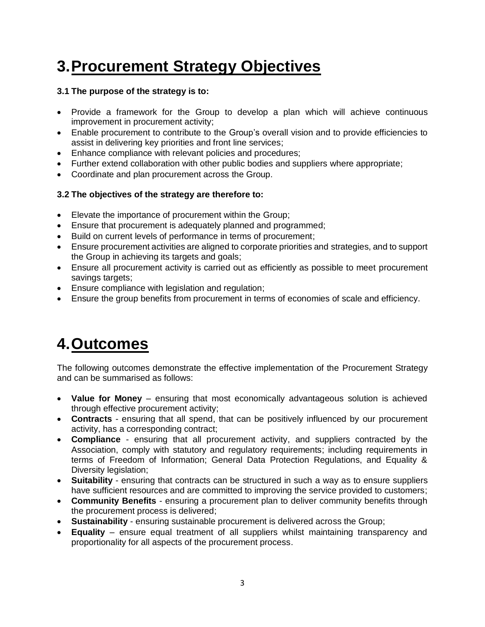# **3.Procurement Strategy Objectives**

### **3.1 The purpose of the strategy is to:**

- Provide a framework for the Group to develop a plan which will achieve continuous improvement in procurement activity;
- Enable procurement to contribute to the Group's overall vision and to provide efficiencies to assist in delivering key priorities and front line services;
- Enhance compliance with relevant policies and procedures;
- Further extend collaboration with other public bodies and suppliers where appropriate;
- Coordinate and plan procurement across the Group.

### **3.2 The objectives of the strategy are therefore to:**

- Elevate the importance of procurement within the Group;
- Ensure that procurement is adequately planned and programmed;
- Build on current levels of performance in terms of procurement;
- Ensure procurement activities are aligned to corporate priorities and strategies, and to support the Group in achieving its targets and goals;
- Ensure all procurement activity is carried out as efficiently as possible to meet procurement savings targets;
- Ensure compliance with legislation and regulation;
- Ensure the group benefits from procurement in terms of economies of scale and efficiency.

# **4.Outcomes**

The following outcomes demonstrate the effective implementation of the Procurement Strategy and can be summarised as follows:

- **Value for Money** ensuring that most economically advantageous solution is achieved through effective procurement activity;
- **Contracts**  ensuring that all spend, that can be positively influenced by our procurement activity, has a corresponding contract;
- **Compliance**  ensuring that all procurement activity, and suppliers contracted by the Association, comply with statutory and regulatory requirements; including requirements in terms of Freedom of Information; General Data Protection Regulations, and Equality & Diversity legislation;
- **Suitability** ensuring that contracts can be structured in such a way as to ensure suppliers have sufficient resources and are committed to improving the service provided to customers;
- **Community Benefits**  ensuring a procurement plan to deliver community benefits through the procurement process is delivered;
- **Sustainability**  ensuring sustainable procurement is delivered across the Group;
- **Equality** ensure equal treatment of all suppliers whilst maintaining transparency and proportionality for all aspects of the procurement process.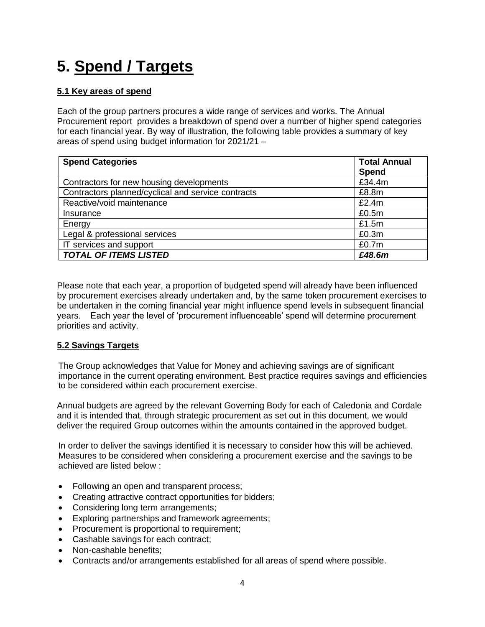# **5. Spend / Targets**

## **5.1 Key areas of spend**

Each of the group partners procures a wide range of services and works. The Annual Procurement report provides a breakdown of spend over a number of higher spend categories for each financial year. By way of illustration, the following table provides a summary of key areas of spend using budget information for 2021/21 –

| <b>Spend Categories</b>                            | <b>Total Annual</b><br>Spend |
|----------------------------------------------------|------------------------------|
| Contractors for new housing developments           | £34.4m                       |
| Contractors planned/cyclical and service contracts | £8.8m                        |
| Reactive/void maintenance                          | £2.4m                        |
| Insurance                                          | £0.5m                        |
| Energy                                             | £1.5m                        |
| Legal & professional services                      | £0.3m                        |
| IT services and support                            | £0.7 <sub>m</sub>            |
| <b>TOTAL OF ITEMS LISTED</b>                       | £48.6m                       |

Please note that each year, a proportion of budgeted spend will already have been influenced by procurement exercises already undertaken and, by the same token procurement exercises to be undertaken in the coming financial year might influence spend levels in subsequent financial years. Each year the level of 'procurement influenceable' spend will determine procurement priorities and activity.

## **5.2 Savings Targets**

The Group acknowledges that Value for Money and achieving savings are of significant importance in the current operating environment. Best practice requires savings and efficiencies to be considered within each procurement exercise.

Annual budgets are agreed by the relevant Governing Body for each of Caledonia and Cordale and it is intended that, through strategic procurement as set out in this document, we would deliver the required Group outcomes within the amounts contained in the approved budget.

In order to deliver the savings identified it is necessary to consider how this will be achieved. Measures to be considered when considering a procurement exercise and the savings to be achieved are listed below :

- Following an open and transparent process;
- Creating attractive contract opportunities for bidders;
- Considering long term arrangements;
- Exploring partnerships and framework agreements;
- Procurement is proportional to requirement;
- Cashable savings for each contract;
- Non-cashable benefits:
- Contracts and/or arrangements established for all areas of spend where possible.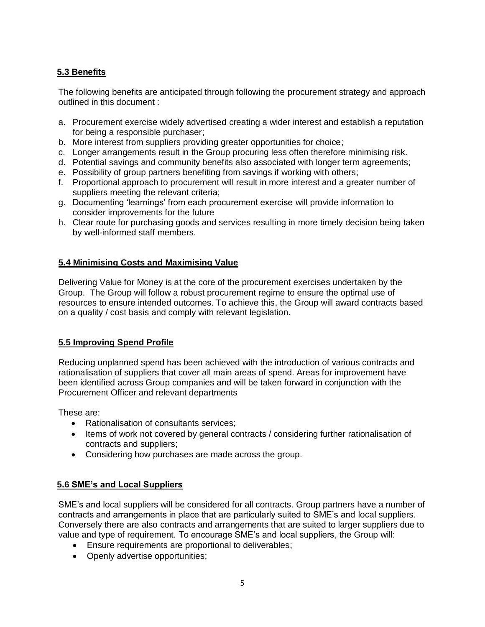# **5.3 Benefits**

The following benefits are anticipated through following the procurement strategy and approach outlined in this document :

- a. Procurement exercise widely advertised creating a wider interest and establish a reputation for being a responsible purchaser;
- b. More interest from suppliers providing greater opportunities for choice;
- c. Longer arrangements result in the Group procuring less often therefore minimising risk.
- d. Potential savings and community benefits also associated with longer term agreements;
- e. Possibility of group partners benefiting from savings if working with others;
- f. Proportional approach to procurement will result in more interest and a greater number of suppliers meeting the relevant criteria;
- g. Documenting 'learnings' from each procurement exercise will provide information to consider improvements for the future
- h. Clear route for purchasing goods and services resulting in more timely decision being taken by well-informed staff members.

### **5.4 Minimising Costs and Maximising Value**

Delivering Value for Money is at the core of the procurement exercises undertaken by the Group. The Group will follow a robust procurement regime to ensure the optimal use of resources to ensure intended outcomes. To achieve this, the Group will award contracts based on a quality / cost basis and comply with relevant legislation.

## **5.5 Improving Spend Profile**

Reducing unplanned spend has been achieved with the introduction of various contracts and rationalisation of suppliers that cover all main areas of spend. Areas for improvement have been identified across Group companies and will be taken forward in conjunction with the Procurement Officer and relevant departments

These are:

- Rationalisation of consultants services;
- Items of work not covered by general contracts / considering further rationalisation of contracts and suppliers;
- Considering how purchases are made across the group.

## **5.6 SME's and Local Suppliers**

SME's and local suppliers will be considered for all contracts. Group partners have a number of contracts and arrangements in place that are particularly suited to SME's and local suppliers. Conversely there are also contracts and arrangements that are suited to larger suppliers due to value and type of requirement. To encourage SME's and local suppliers, the Group will:

- Ensure requirements are proportional to deliverables;
- Openly advertise opportunities;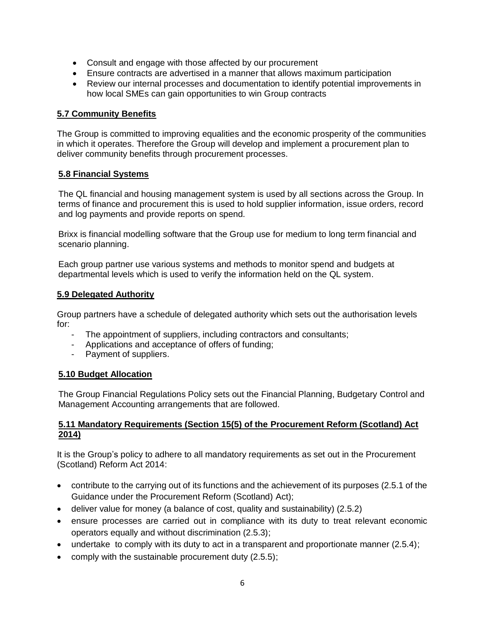- Consult and engage with those affected by our procurement
- Ensure contracts are advertised in a manner that allows maximum participation
- Review our internal processes and documentation to identify potential improvements in how local SMEs can gain opportunities to win Group contracts

#### **5.7 Community Benefits**

The Group is committed to improving equalities and the economic prosperity of the communities in which it operates. Therefore the Group will develop and implement a procurement plan to deliver community benefits through procurement processes.

#### **5.8 Financial Systems**

The QL financial and housing management system is used by all sections across the Group. In terms of finance and procurement this is used to hold supplier information, issue orders, record and log payments and provide reports on spend.

Brixx is financial modelling software that the Group use for medium to long term financial and scenario planning.

Each group partner use various systems and methods to monitor spend and budgets at departmental levels which is used to verify the information held on the QL system.

#### **5.9 Delegated Authority**

Group partners have a schedule of delegated authority which sets out the authorisation levels for:

- The appointment of suppliers, including contractors and consultants;
- Applications and acceptance of offers of funding;
- Payment of suppliers.

#### **5.10 Budget Allocation**

The Group Financial Regulations Policy sets out the Financial Planning, Budgetary Control and Management Accounting arrangements that are followed.

#### **5.11 Mandatory Requirements (Section 15(5) of the [Procurement Reform \(Scotland\) Act](http://www.legislation.gov.uk/asp/2014/12/part/2/crossheading/procurement-strategy-and-annual-report)  [2014\)](http://www.legislation.gov.uk/asp/2014/12/part/2/crossheading/procurement-strategy-and-annual-report)**

It is the Group's policy to adhere to all mandatory requirements as set out in the Procurement (Scotland) Reform Act 2014:

- contribute to the carrying out of its functions and the achievement of its purposes (2.5.1 of the Guidance under the Procurement Reform (Scotland) Act);
- deliver value for money (a balance of cost, quality and sustainability) (2.5.2)
- ensure processes are carried out in compliance with its duty to treat relevant economic operators equally and without discrimination (2.5.3);
- undertake to comply with its duty to act in a transparent and proportionate manner (2.5.4);
- comply with the sustainable procurement duty (2.5.5);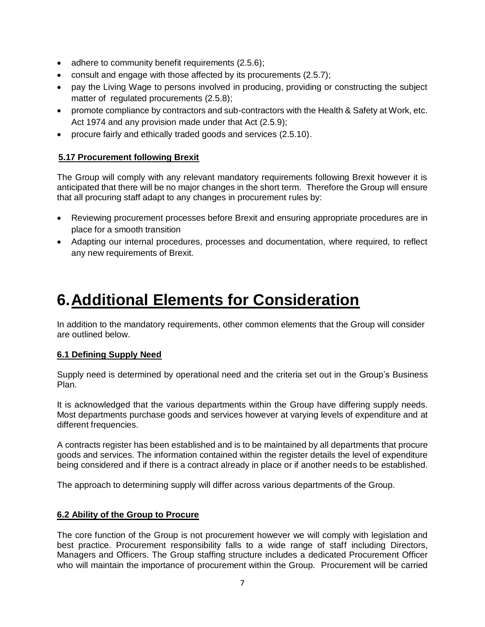- adhere to community benefit requirements (2.5.6);
- consult and engage with those affected by its procurements (2.5.7);
- pay the Living Wage to persons involved in producing, providing or constructing the subject matter of regulated procurements (2.5.8);
- promote compliance by contractors and sub-contractors with the Health & Safety at Work, etc. Act 1974 and any provision made under that Act (2.5.9);
- procure fairly and ethically traded goods and services (2.5.10).

### **5.17 Procurement following Brexit**

The Group will comply with any relevant mandatory requirements following Brexit however it is anticipated that there will be no major changes in the short term. Therefore the Group will ensure that all procuring staff adapt to any changes in procurement rules by:

- Reviewing procurement processes before Brexit and ensuring appropriate procedures are in place for a smooth transition
- Adapting our internal procedures, processes and documentation, where required, to reflect any new requirements of Brexit.

# **6.Additional Elements for Consideration**

In addition to the mandatory requirements, other common elements that the Group will consider are outlined below.

#### **6.1 Defining Supply Need**

Supply need is determined by operational need and the criteria set out in the Group's Business Plan.

It is acknowledged that the various departments within the Group have differing supply needs. Most departments purchase goods and services however at varying levels of expenditure and at different frequencies.

A contracts register has been established and is to be maintained by all departments that procure goods and services. The information contained within the register details the level of expenditure being considered and if there is a contract already in place or if another needs to be established.

The approach to determining supply will differ across various departments of the Group.

#### **6.2 Ability of the Group to Procure**

The core function of the Group is not procurement however we will comply with legislation and best practice. Procurement responsibility falls to a wide range of staff including Directors, Managers and Officers. The Group staffing structure includes a dedicated Procurement Officer who will maintain the importance of procurement within the Group. Procurement will be carried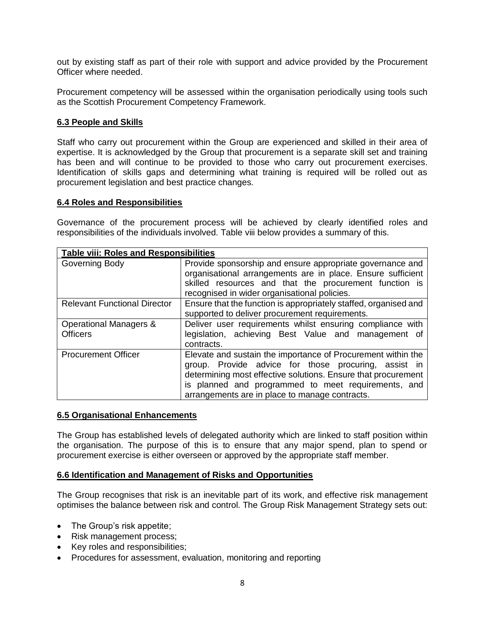out by existing staff as part of their role with support and advice provided by the Procurement Officer where needed.

Procurement competency will be assessed within the organisation periodically using tools such as the Scottish Procurement Competency Framework.

#### **6.3 People and Skills**

Staff who carry out procurement within the Group are experienced and skilled in their area of expertise. It is acknowledged by the Group that procurement is a separate skill set and training has been and will continue to be provided to those who carry out procurement exercises. Identification of skills gaps and determining what training is required will be rolled out as procurement legislation and best practice changes.

#### **6.4 Roles and Responsibilities**

Governance of the procurement process will be achieved by clearly identified roles and responsibilities of the individuals involved. Table viii below provides a summary of this.

| <b>Table viii: Roles and Responsibilities</b> |                                                                                                                                                                                                                                                                                                |  |  |  |
|-----------------------------------------------|------------------------------------------------------------------------------------------------------------------------------------------------------------------------------------------------------------------------------------------------------------------------------------------------|--|--|--|
| Governing Body                                | Provide sponsorship and ensure appropriate governance and<br>organisational arrangements are in place. Ensure sufficient<br>skilled resources and that the procurement function is<br>recognised in wider organisational policies.                                                             |  |  |  |
| <b>Relevant Functional Director</b>           | Ensure that the function is appropriately staffed, organised and<br>supported to deliver procurement requirements.                                                                                                                                                                             |  |  |  |
| Operational Managers &<br><b>Officers</b>     | Deliver user requirements whilst ensuring compliance with<br>legislation, achieving Best Value and management of<br>contracts.                                                                                                                                                                 |  |  |  |
| <b>Procurement Officer</b>                    | Elevate and sustain the importance of Procurement within the<br>group. Provide advice for those procuring, assist in<br>determining most effective solutions. Ensure that procurement<br>is planned and programmed to meet requirements, and<br>arrangements are in place to manage contracts. |  |  |  |

#### **6.5 Organisational Enhancements**

The Group has established levels of delegated authority which are linked to staff position within the organisation. The purpose of this is to ensure that any major spend, plan to spend or procurement exercise is either overseen or approved by the appropriate staff member.

#### **6.6 Identification and Management of Risks and Opportunities**

The Group recognises that risk is an inevitable part of its work, and effective risk management optimises the balance between risk and control. The Group Risk Management Strategy sets out:

- The Group's risk appetite;
- Risk management process;
- Key roles and responsibilities;
- Procedures for assessment, evaluation, monitoring and reporting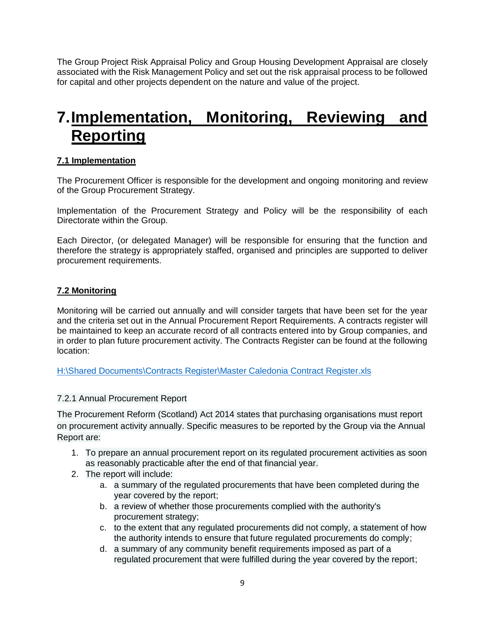The Group Project Risk Appraisal Policy and Group Housing Development Appraisal are closely associated with the Risk Management Policy and set out the risk appraisal process to be followed for capital and other projects dependent on the nature and value of the project.

# **7.Implementation, Monitoring, Reviewing and Reporting**

## **7.1 Implementation**

The Procurement Officer is responsible for the development and ongoing monitoring and review of the Group Procurement Strategy.

Implementation of the Procurement Strategy and Policy will be the responsibility of each Directorate within the Group.

Each Director, (or delegated Manager) will be responsible for ensuring that the function and therefore the strategy is appropriately staffed, organised and principles are supported to deliver procurement requirements.

## **7.2 Monitoring**

Monitoring will be carried out annually and will consider targets that have been set for the year and the criteria set out in the Annual Procurement Report Requirements. A contracts register will be maintained to keep an accurate record of all contracts entered into by Group companies, and in order to plan future procurement activity. The Contracts Register can be found at the following location:

[H:\Shared Documents\Contracts Register\Master Caledonia Contract Register.xls](file://///iom-cha-fs1.caledoniaha.co.uk/Groups$/Shared%20Documents/Contracts%20Register/Master%20Caledonia%20Contract%20Register.xls)

#### 7.2.1 Annual Procurement Report

The Procurement Reform (Scotland) Act 2014 states that purchasing organisations must report on procurement activity annually. Specific measures to be reported by the Group via the Annual Report are:

- 1. To prepare an annual procurement report on its regulated procurement activities as soon as reasonably practicable after the end of that financial year.
- 2. The report will include:
	- a. a summary of the regulated procurements that have been completed during the year covered by the report;
	- b. a review of whether those procurements complied with the authority's procurement strategy;
	- c. to the extent that any regulated procurements did not comply, a statement of how the authority intends to ensure that future regulated procurements do comply;
	- d. a summary of any community benefit requirements imposed as part of a regulated procurement that were fulfilled during the year covered by the report;